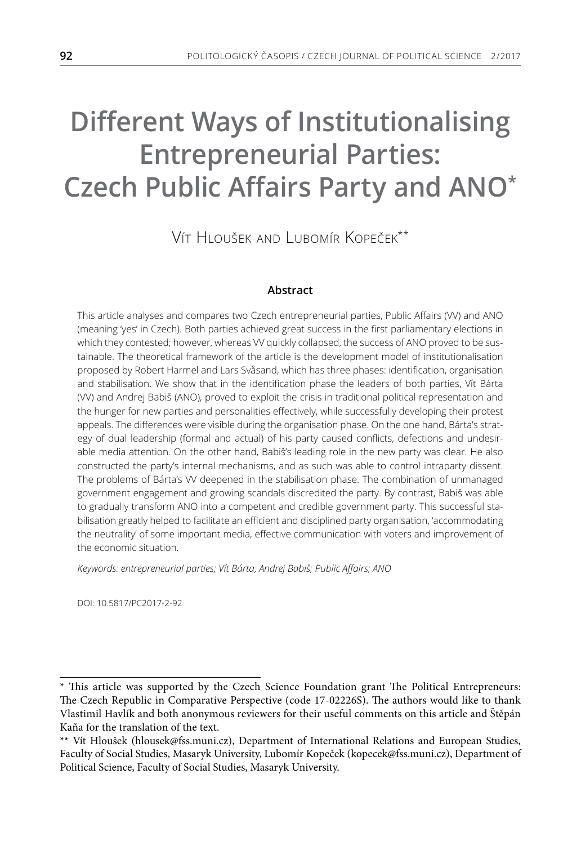# **Different Ways of Institutionalising Entrepreneurial Parties: Czech Public Affairs Party and ANO\***

Vít Hloušek and Lubomír Kopeček\*\*

#### **Abstract**

This article analyses and compares two Czech entrepreneurial parties, Public Affairs (VV) and ANO (meaning 'yes' in Czech). Both parties achieved great success in the first parliamentary elections in which they contested; however, whereas VV quickly collapsed, the success of ANO proved to be sustainable. The theoretical framework of the article is the development model of institutionalisation proposed by Robert Harmel and Lars Svåsand, which has three phases: identification, organisation and stabilisation. We show that in the identification phase the leaders of both parties, Vít Bárta (VV) and Andrej Babiš (ANO), proved to exploit the crisis in traditional political representation and the hunger for new parties and personalities effectively, while successfully developing their protest appeals. The differences were visible during the organisation phase. On the one hand, Bárta's strategy of dual leadership (formal and actual) of his party caused conflicts, defections and undesirable media attention. On the other hand, Babiš's leading role in the new party was clear. He also constructed the party's internal mechanisms, and as such was able to control intraparty dissent. The problems of Bárta's VV deepened in the stabilisation phase. The combination of unmanaged government engagement and growing scandals discredited the party. By contrast, Babiš was able to gradually transform ANO into a competent and credible government party. This successful stabilisation greatly helped to facilitate an efficient and disciplined party organisation, 'accommodating the neutrality' of some important media, effective communication with voters and improvement of the economic situation.

*Keywords: entrepreneurial parties; Vít Bárta; Andrej Babiš; Public Affairs; ANO* 

DOI: 10.5817/PC2017-2-92

<sup>\*</sup> This article was supported by the Czech Science Foundation grant The Political Entrepreneurs: The Czech Republic in Comparative Perspective (code 17-02226S). The authors would like to thank Vlastimil Havlík and both anonymous reviewers for their useful comments on this article and Štěpán Kaňa for the translation of the text.

<sup>\*\*</sup> Vít Hloušek (hlousek@fss.muni.cz), Department of International Relations and European Studies, Faculty of Social Studies, Masaryk University, Lubomír Kopeček (kopecek@fss.muni.cz), Department of Political Science, Faculty of Social Studies, Masaryk University.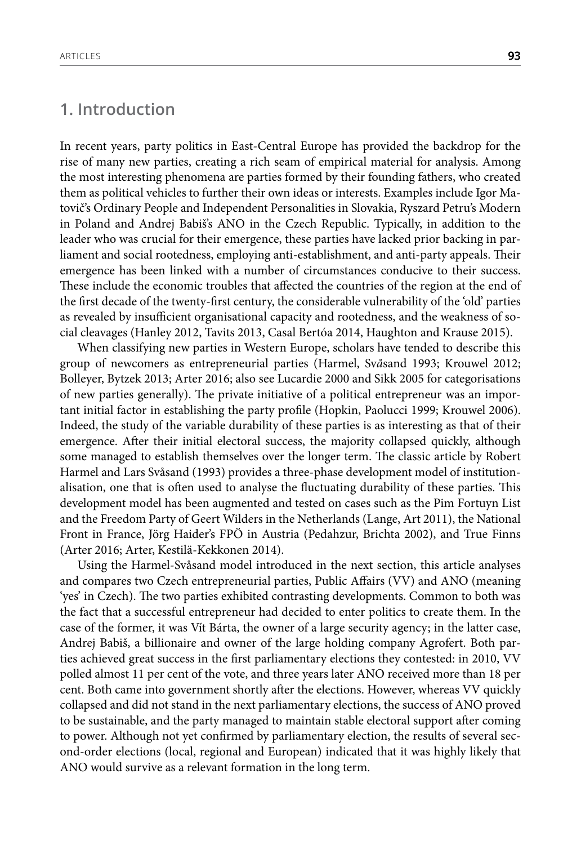#### **1. Introduction**

In recent years, party politics in East-Central Europe has provided the backdrop for the rise of many new parties, creating a rich seam of empirical material for analysis. Among the most interesting phenomena are parties formed by their founding fathers, who created them as political vehicles to further their own ideas or interests. Examples include Igor Matovič's Ordinary People and Independent Personalities in Slovakia, Ryszard Petru's Modern in Poland and Andrej Babiš's ANO in the Czech Republic. Typically, in addition to the leader who was crucial for their emergence, these parties have lacked prior backing in parliament and social rootedness, employing anti-establishment, and anti-party appeals. Their emergence has been linked with a number of circumstances conducive to their success. These include the economic troubles that affected the countries of the region at the end of the first decade of the twenty-first century, the considerable vulnerability of the 'old' parties as revealed by insufficient organisational capacity and rootedness, and the weakness of social cleavages (Hanley 2012, Tavits 2013, Casal Bertóa 2014, Haughton and Krause 2015).

When classifying new parties in Western Europe, scholars have tended to describe this group of newcomers as entrepreneurial parties (Harmel, Sv*å*sand 1993; Krouwel 2012; Bolleyer, Bytzek 2013; Arter 2016; also see Lucardie 2000 and Sikk 2005 for categorisations of new parties generally). The private initiative of a political entrepreneur was an important initial factor in establishing the party profile (Hopkin, Paolucci 1999; Krouwel 2006). Indeed, the study of the variable durability of these parties is as interesting as that of their emergence. After their initial electoral success, the majority collapsed quickly, although some managed to establish themselves over the longer term. The classic article by Robert Harmel and Lars Svåsand (1993) provides a three-phase development model of institutionalisation, one that is often used to analyse the fluctuating durability of these parties. This development model has been augmented and tested on cases such as the Pim Fortuyn List and the Freedom Party of Geert Wilders in the Netherlands (Lange, Art 2011), the National Front in France, Jörg Haider's FPÖ in Austria (Pedahzur, Brichta 2002), and True Finns (Arter 2016; Arter, Kestilä-Kekkonen 2014).

Using the Harmel-Svåsand model introduced in the next section, this article analyses and compares two Czech entrepreneurial parties, Public Affairs (VV) and ANO (meaning 'yes' in Czech). The two parties exhibited contrasting developments. Common to both was the fact that a successful entrepreneur had decided to enter politics to create them. In the case of the former, it was Vít Bárta, the owner of a large security agency; in the latter case, Andrej Babiš, a billionaire and owner of the large holding company Agrofert. Both parties achieved great success in the first parliamentary elections they contested: in 2010, VV polled almost 11 per cent of the vote, and three years later ANO received more than 18 per cent. Both came into government shortly after the elections. However, whereas VV quickly collapsed and did not stand in the next parliamentary elections, the success of ANO proved to be sustainable, and the party managed to maintain stable electoral support after coming to power. Although not yet confirmed by parliamentary election, the results of several second-order elections (local, regional and European) indicated that it was highly likely that ANO would survive as a relevant formation in the long term.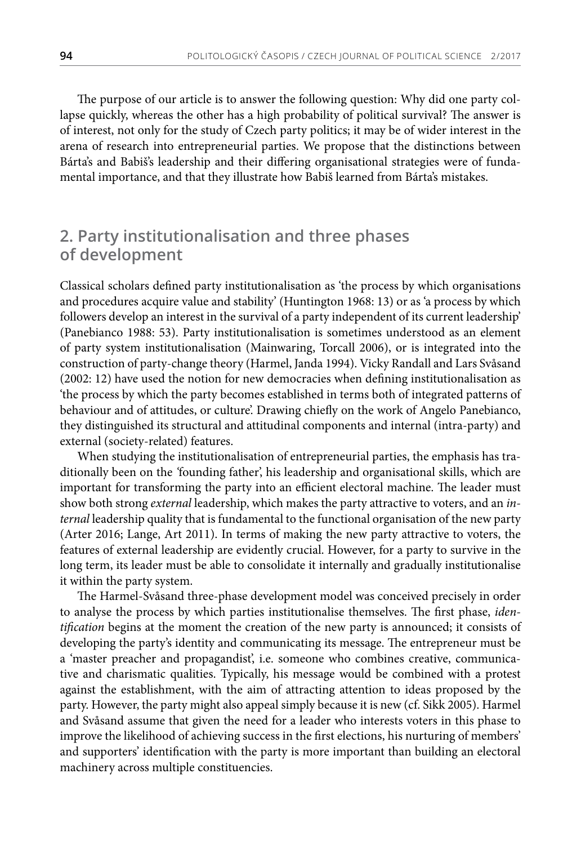The purpose of our article is to answer the following question: Why did one party collapse quickly, whereas the other has a high probability of political survival? The answer is of interest, not only for the study of Czech party politics; it may be of wider interest in the arena of research into entrepreneurial parties. We propose that the distinctions between Bárta's and Babiš's leadership and their differing organisational strategies were of fundamental importance, and that they illustrate how Babiš learned from Bárta's mistakes.

## **2. Party institutionalisation and three phases of development**

Classical scholars defined party institutionalisation as 'the process by which organisations and procedures acquire value and stability' (Huntington 1968: 13) or as 'a process by which followers develop an interest in the survival of a party independent of its current leadership' (Panebianco 1988: 53). Party institutionalisation is sometimes understood as an element of party system institutionalisation (Mainwaring, Torcall 2006), or is integrated into the construction of party-change theory (Harmel, Janda 1994). Vicky Randall and Lars Svåsand (2002: 12) have used the notion for new democracies when defining institutionalisation as 'the process by which the party becomes established in terms both of integrated patterns of behaviour and of attitudes, or culture'. Drawing chiefly on the work of Angelo Panebianco, they distinguished its structural and attitudinal components and internal (intra-party) and external (society-related) features.

When studying the institutionalisation of entrepreneurial parties, the emphasis has traditionally been on the *'*founding father', his leadership and organisational skills, which are important for transforming the party into an efficient electoral machine. The leader must show both strong *external* leadership, which makes the party attractive to voters, and an *internal* leadership quality that is fundamental to the functional organisation of the new party (Arter 2016; Lange, Art 2011). In terms of making the new party attractive to voters, the features of external leadership are evidently crucial. However, for a party to survive in the long term, its leader must be able to consolidate it internally and gradually institutionalise it within the party system.

The Harmel-Svåsand three-phase development model was conceived precisely in order to analyse the process by which parties institutionalise themselves. The first phase, *identification* begins at the moment the creation of the new party is announced; it consists of developing the party's identity and communicating its message. The entrepreneur must be a 'master preacher and propagandist', i.e. someone who combines creative, communicative and charismatic qualities. Typically, his message would be combined with a protest against the establishment, with the aim of attracting attention to ideas proposed by the party. However, the party might also appeal simply because it is new (cf. Sikk 2005). Harmel and Svåsand assume that given the need for a leader who interests voters in this phase to improve the likelihood of achieving success in the first elections, his nurturing of members' and supporters' identification with the party is more important than building an electoral machinery across multiple constituencies.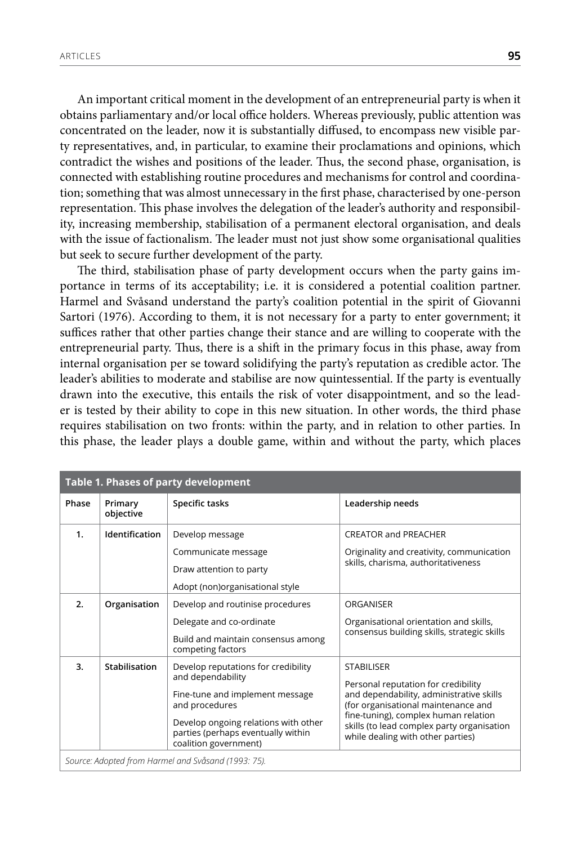An important critical moment in the development of an entrepreneurial party is when it obtains parliamentary and/or local office holders. Whereas previously, public attention was concentrated on the leader, now it is substantially diffused, to encompass new visible party representatives, and, in particular, to examine their proclamations and opinions, which contradict the wishes and positions of the leader. Thus, the second phase, organisation, is connected with establishing routine procedures and mechanisms for control and coordination; something that was almost unnecessary in the first phase, characterised by one-person representation. This phase involves the delegation of the leader's authority and responsibility, increasing membership, stabilisation of a permanent electoral organisation, and deals with the issue of factionalism. The leader must not just show some organisational qualities but seek to secure further development of the party.

The third, stabilisation phase of party development occurs when the party gains importance in terms of its acceptability; i.e. it is considered a potential coalition partner. Harmel and Svåsand understand the party's coalition potential in the spirit of Giovanni Sartori (1976). According to them, it is not necessary for a party to enter government; it suffices rather that other parties change their stance and are willing to cooperate with the entrepreneurial party. Thus, there is a shift in the primary focus in this phase, away from internal organisation per se toward solidifying the party's reputation as credible actor. The leader's abilities to moderate and stabilise are now quintessential. If the party is eventually drawn into the executive, this entails the risk of voter disappointment, and so the leader is tested by their ability to cope in this new situation. In other words, the third phase requires stabilisation on two fronts: within the party, and in relation to other parties. In this phase, the leader plays a double game, within and without the party, which places

| Table 1. Phases of party development |                      |                                                                                                                                                                                                                                                                             |                                                                                                                                                                                                                                                                        |  |  |  |  |  |
|--------------------------------------|----------------------|-----------------------------------------------------------------------------------------------------------------------------------------------------------------------------------------------------------------------------------------------------------------------------|------------------------------------------------------------------------------------------------------------------------------------------------------------------------------------------------------------------------------------------------------------------------|--|--|--|--|--|
| Phase                                | Primary<br>objective | Specific tasks                                                                                                                                                                                                                                                              | Leadership needs                                                                                                                                                                                                                                                       |  |  |  |  |  |
| $\mathbf{1}$ .                       | Identification       | Develop message<br>Communicate message<br>Draw attention to party<br>Adopt (non)organisational style                                                                                                                                                                        | <b>CREATOR and PREACHER</b><br>Originality and creativity, communication<br>skills, charisma, authoritativeness                                                                                                                                                        |  |  |  |  |  |
| 2.                                   | Organisation         | Develop and routinise procedures<br>Delegate and co-ordinate<br>Build and maintain consensus among<br>competing factors                                                                                                                                                     | ORGANISER<br>Organisational orientation and skills,<br>consensus building skills, strategic skills                                                                                                                                                                     |  |  |  |  |  |
| 3.                                   | <b>Stabilisation</b> | Develop reputations for credibility<br>and dependability<br>Fine-tune and implement message<br>and procedures<br>Develop ongoing relations with other<br>parties (perhaps eventually within<br>coalition government)<br>Source: Adopted from Harmel and Svåsand (1993: 75). | <b>STABILISER</b><br>Personal reputation for credibility<br>and dependability, administrative skills<br>(for organisational maintenance and<br>fine-tuning), complex human relation<br>skills (to lead complex party organisation<br>while dealing with other parties) |  |  |  |  |  |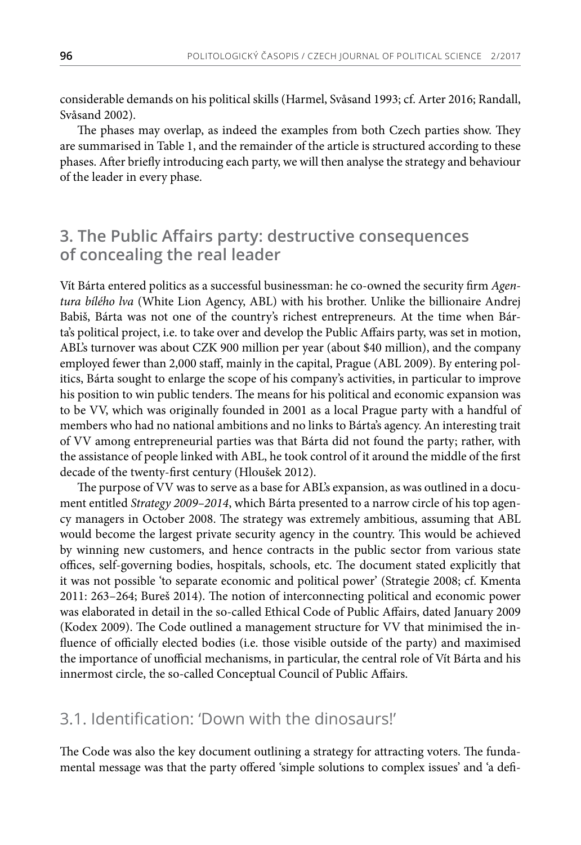considerable demands on his political skills (Harmel, Svåsand 1993; cf. Arter 2016; Randall, Svåsand 2002).

The phases may overlap, as indeed the examples from both Czech parties show. They are summarised in Table 1, and the remainder of the article is structured according to these phases. After briefly introducing each party, we will then analyse the strategy and behaviour of the leader in every phase.

## **3. The Public Affairs party: destructive consequences of concealing the real leader**

Vít Bárta entered politics as a successful businessman: he co-owned the security firm *Agentura bílého lva* (White Lion Agency, ABL) with his brother. Unlike the billionaire Andrej Babiš, Bárta was not one of the country's richest entrepreneurs. At the time when Bárta's political project, i.e. to take over and develop the Public Affairs party, was set in motion, ABL's turnover was about CZK 900 million per year (about \$40 million), and the company employed fewer than 2,000 staff, mainly in the capital, Prague (ABL 2009). By entering politics, Bárta sought to enlarge the scope of his company's activities, in particular to improve his position to win public tenders. The means for his political and economic expansion was to be VV, which was originally founded in 2001 as a local Prague party with a handful of members who had no national ambitions and no links to Bárta's agency. An interesting trait of VV among entrepreneurial parties was that Bárta did not found the party; rather, with the assistance of people linked with ABL, he took control of it around the middle of the first decade of the twenty-first century (Hloušek 2012).

The purpose of VV was to serve as a base for ABL's expansion, as was outlined in a document entitled *Strategy 2009–2014*, which Bárta presented to a narrow circle of his top agency managers in October 2008. The strategy was extremely ambitious, assuming that ABL would become the largest private security agency in the country. This would be achieved by winning new customers, and hence contracts in the public sector from various state offices, self-governing bodies, hospitals, schools, etc. The document stated explicitly that it was not possible 'to separate economic and political power' (Strategie 2008; cf. Kmenta 2011: 263–264; Bureš 2014). The notion of interconnecting political and economic power was elaborated in detail in the so-called Ethical Code of Public Affairs, dated January 2009 (Kodex 2009). The Code outlined a management structure for VV that minimised the influence of officially elected bodies (i.e. those visible outside of the party) and maximised the importance of unofficial mechanisms, in particular, the central role of Vít Bárta and his innermost circle, the so-called Conceptual Council of Public Affairs.

#### 3.1. Identification: 'Down with the dinosaurs!'

The Code was also the key document outlining a strategy for attracting voters. The fundamental message was that the party offered 'simple solutions to complex issues' and 'a defi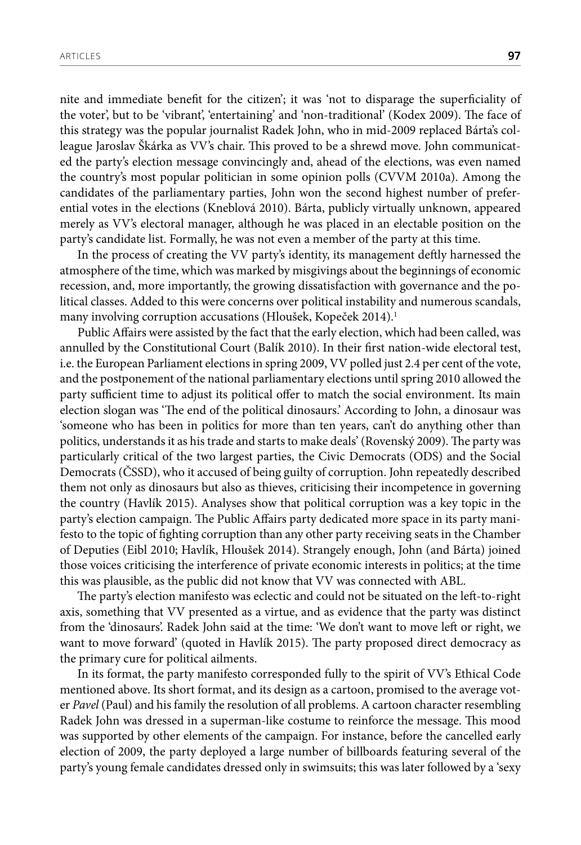nite and immediate benefit for the citizen'; it was 'not to disparage the superficiality of the voter', but to be 'vibrant', 'entertaining' and 'non-traditional' (Kodex 2009). The face of this strategy was the popular journalist Radek John, who in mid-2009 replaced Bárta's colleague Jaroslav Škárka as VV's chair. This proved to be a shrewd move. John communicated the party's election message convincingly and, ahead of the elections, was even named the country's most popular politician in some opinion polls (CVVM 2010a). Among the candidates of the parliamentary parties, John won the second highest number of preferential votes in the elections (Kneblová 2010). Bárta, publicly virtually unknown, appeared merely as VV's electoral manager, although he was placed in an electable position on the party's candidate list. Formally, he was not even a member of the party at this time.

In the process of creating the VV party's identity, its management deftly harnessed the atmosphere of the time, which was marked by misgivings about the beginnings of economic recession, and, more importantly, the growing dissatisfaction with governance and the political classes. Added to this were concerns over political instability and numerous scandals, many involving corruption accusations (Hloušek, Kopeček 2014).<sup>1</sup>

Public Affairs were assisted by the fact that the early election, which had been called, was annulled by the Constitutional Court (Balík 2010). In their first nation-wide electoral test, i.e. the European Parliament elections in spring 2009, VV polled just 2.4 per cent of the vote, and the postponement of the national parliamentary elections until spring 2010 allowed the party sufficient time to adjust its political offer to match the social environment. Its main election slogan was 'The end of the political dinosaurs.' According to John, a dinosaur was 'someone who has been in politics for more than ten years, can't do anything other than politics, understands it as his trade and starts to make deals' (Rovenský 2009). The party was particularly critical of the two largest parties, the Civic Democrats (ODS) and the Social Democrats (ČSSD), who it accused of being guilty of corruption. John repeatedly described them not only as dinosaurs but also as thieves, criticising their incompetence in governing the country (Havlík 2015). Analyses show that political corruption was a key topic in the party's election campaign. The Public Affairs party dedicated more space in its party manifesto to the topic of fighting corruption than any other party receiving seats in the Chamber of Deputies (Eibl 2010; Havlík, Hloušek 2014). Strangely enough, John (and Bárta) joined those voices criticising the interference of private economic interests in politics; at the time this was plausible, as the public did not know that VV was connected with ABL.

The party's election manifesto was eclectic and could not be situated on the left-to-right axis, something that VV presented as a virtue, and as evidence that the party was distinct from the 'dinosaurs'. Radek John said at the time: 'We don't want to move left or right, we want to move forward' (quoted in Havlík 2015). The party proposed direct democracy as the primary cure for political ailments.

In its format, the party manifesto corresponded fully to the spirit of VV's Ethical Code mentioned above. Its short format, and its design as a cartoon, promised to the average voter *Pavel* (Paul) and his family the resolution of all problems. A cartoon character resembling Radek John was dressed in a superman-like costume to reinforce the message. This mood was supported by other elements of the campaign. For instance, before the cancelled early election of 2009, the party deployed a large number of billboards featuring several of the party's young female candidates dressed only in swimsuits; this was later followed by a 'sexy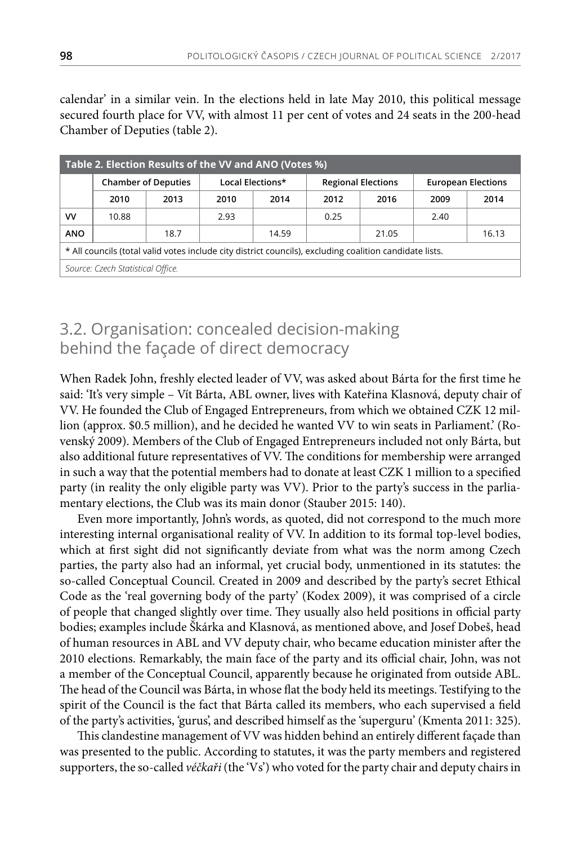calendar' in a similar vein. In the elections held in late May 2010, this political message secured fourth place for VV, with almost 11 per cent of votes and 24 seats in the 200-head Chamber of Deputies (table 2).

| Table 2. Election Results of the VV and ANO (Votes %)                                                   |                            |      |                  |       |                           |       |                           |       |  |  |  |
|---------------------------------------------------------------------------------------------------------|----------------------------|------|------------------|-------|---------------------------|-------|---------------------------|-------|--|--|--|
|                                                                                                         | <b>Chamber of Deputies</b> |      | Local Elections* |       | <b>Regional Elections</b> |       | <b>European Elections</b> |       |  |  |  |
|                                                                                                         | 2010                       | 2013 | 2010             | 2014  | 2012                      | 2016  | 2009                      | 2014  |  |  |  |
| vv                                                                                                      | 10.88                      |      | 2.93             |       | 0.25                      |       | 2.40                      |       |  |  |  |
| <b>ANO</b>                                                                                              |                            | 18.7 |                  | 14.59 |                           | 21.05 |                           | 16.13 |  |  |  |
| * All councils (total valid votes include city district councils), excluding coalition candidate lists. |                            |      |                  |       |                           |       |                           |       |  |  |  |
| Source: Czech Statistical Office.                                                                       |                            |      |                  |       |                           |       |                           |       |  |  |  |

## 3.2. Organisation: concealed decision-making behind the façade of direct democracy

When Radek John, freshly elected leader of VV, was asked about Bárta for the first time he said: 'It's very simple – Vít Bárta, ABL owner, lives with Kateřina Klasnová, deputy chair of VV. He founded the Club of Engaged Entrepreneurs, from which we obtained CZK 12 million (approx. \$0.5 million), and he decided he wanted VV to win seats in Parliament.' (Rovenský 2009). Members of the Club of Engaged Entrepreneurs included not only Bárta, but also additional future representatives of VV. The conditions for membership were arranged in such a way that the potential members had to donate at least CZK 1 million to a specified party (in reality the only eligible party was VV). Prior to the party's success in the parliamentary elections, the Club was its main donor (Stauber 2015: 140).

Even more importantly, John's words, as quoted, did not correspond to the much more interesting internal organisational reality of VV. In addition to its formal top-level bodies, which at first sight did not significantly deviate from what was the norm among Czech parties, the party also had an informal, yet crucial body, unmentioned in its statutes: the so-called Conceptual Council. Created in 2009 and described by the party's secret Ethical Code as the 'real governing body of the party' (Kodex 2009), it was comprised of a circle of people that changed slightly over time. They usually also held positions in official party bodies; examples include Škárka and Klasnová, as mentioned above, and Josef Dobeš, head of human resources in ABL and VV deputy chair, who became education minister after the 2010 elections. Remarkably, the main face of the party and its official chair, John, was not a member of the Conceptual Council, apparently because he originated from outside ABL. The head of the Council was Bárta, in whose flat the body held its meetings. Testifying to the spirit of the Council is the fact that Bárta called its members, who each supervised a field of the party's activities, 'gurus', and described himself as the 'superguru' (Kmenta 2011: 325).

This clandestine management of VV was hidden behind an entirely different façade than was presented to the public. According to statutes, it was the party members and registered supporters, the so-called *véčkaři* (the 'Vs') who voted for the party chair and deputy chairs in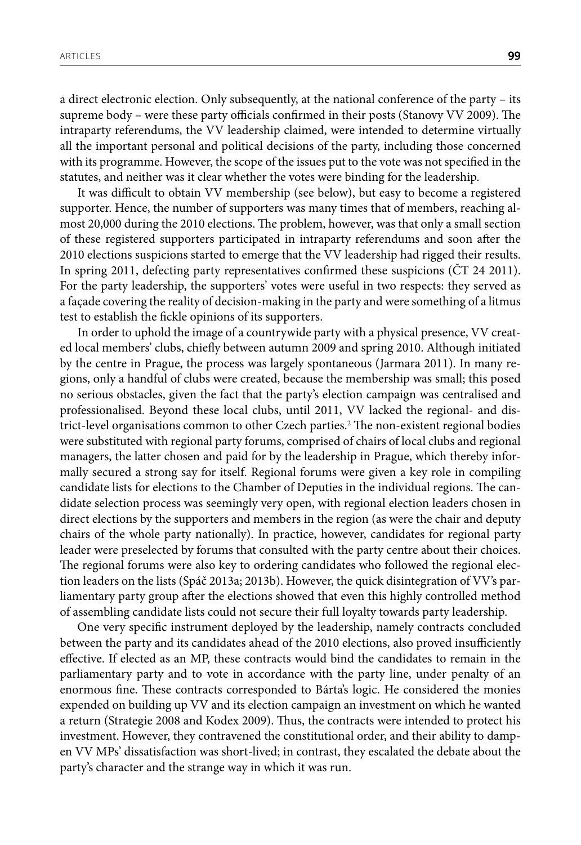a direct electronic election. Only subsequently, at the national conference of the party – its supreme body – were these party officials confirmed in their posts (Stanovy VV 2009). The intraparty referendums, the VV leadership claimed, were intended to determine virtually all the important personal and political decisions of the party, including those concerned with its programme. However, the scope of the issues put to the vote was not specified in the statutes, and neither was it clear whether the votes were binding for the leadership.

It was difficult to obtain VV membership (see below), but easy to become a registered supporter. Hence, the number of supporters was many times that of members, reaching almost 20,000 during the 2010 elections. The problem, however, was that only a small section of these registered supporters participated in intraparty referendums and soon after the 2010 elections suspicions started to emerge that the VV leadership had rigged their results. In spring 2011, defecting party representatives confirmed these suspicions (ČT 24 2011). For the party leadership, the supporters' votes were useful in two respects: they served as a façade covering the reality of decision-making in the party and were something of a litmus test to establish the fickle opinions of its supporters.

In order to uphold the image of a countrywide party with a physical presence, VV created local members' clubs, chiefly between autumn 2009 and spring 2010. Although initiated by the centre in Prague, the process was largely spontaneous (Jarmara 2011). In many regions, only a handful of clubs were created, because the membership was small; this posed no serious obstacles, given the fact that the party's election campaign was centralised and professionalised. Beyond these local clubs, until 2011, VV lacked the regional- and district-level organisations common to other Czech parties.<sup>2</sup> The non-existent regional bodies were substituted with regional party forums, comprised of chairs of local clubs and regional managers, the latter chosen and paid for by the leadership in Prague, which thereby informally secured a strong say for itself. Regional forums were given a key role in compiling candidate lists for elections to the Chamber of Deputies in the individual regions. The candidate selection process was seemingly very open, with regional election leaders chosen in direct elections by the supporters and members in the region (as were the chair and deputy chairs of the whole party nationally). In practice, however, candidates for regional party leader were preselected by forums that consulted with the party centre about their choices. The regional forums were also key to ordering candidates who followed the regional election leaders on the lists (Spáč 2013a; 2013b). However, the quick disintegration of VV's parliamentary party group after the elections showed that even this highly controlled method of assembling candidate lists could not secure their full loyalty towards party leadership.

One very specific instrument deployed by the leadership, namely contracts concluded between the party and its candidates ahead of the 2010 elections, also proved insufficiently effective. If elected as an MP, these contracts would bind the candidates to remain in the parliamentary party and to vote in accordance with the party line, under penalty of an enormous fine. These contracts corresponded to Bárta's logic. He considered the monies expended on building up VV and its election campaign an investment on which he wanted a return (Strategie 2008 and Kodex 2009). Thus, the contracts were intended to protect his investment. However, they contravened the constitutional order, and their ability to dampen VV MPs' dissatisfaction was short-lived; in contrast, they escalated the debate about the party's character and the strange way in which it was run.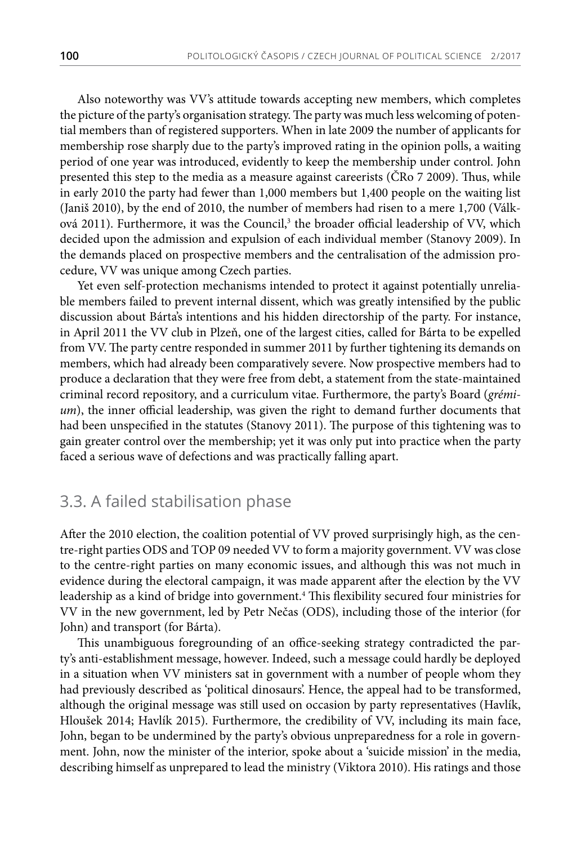Also noteworthy was VV's attitude towards accepting new members, which completes the picture of the party's organisation strategy. The party was much less welcoming of potential members than of registered supporters. When in late 2009 the number of applicants for membership rose sharply due to the party's improved rating in the opinion polls, a waiting period of one year was introduced, evidently to keep the membership under control. John presented this step to the media as a measure against careerists (ČRo 7 2009). Thus, while in early 2010 the party had fewer than 1,000 members but 1,400 people on the waiting list (Janiš 2010), by the end of 2010, the number of members had risen to a mere 1,700 (Válková 2011). Furthermore, it was the Council,<sup>3</sup> the broader official leadership of VV, which decided upon the admission and expulsion of each individual member (Stanovy 2009). In the demands placed on prospective members and the centralisation of the admission procedure, VV was unique among Czech parties.

Yet even self-protection mechanisms intended to protect it against potentially unreliable members failed to prevent internal dissent, which was greatly intensified by the public discussion about Bárta's intentions and his hidden directorship of the party. For instance, in April 2011 the VV club in Plzeň, one of the largest cities, called for Bárta to be expelled from VV. The party centre responded in summer 2011 by further tightening its demands on members, which had already been comparatively severe. Now prospective members had to produce a declaration that they were free from debt, a statement from the state-maintained criminal record repository, and a curriculum vitae. Furthermore, the party's Board (*grémium*), the inner official leadership, was given the right to demand further documents that had been unspecified in the statutes (Stanovy 2011). The purpose of this tightening was to gain greater control over the membership; yet it was only put into practice when the party faced a serious wave of defections and was practically falling apart.

### 3.3. A failed stabilisation phase

After the 2010 election, the coalition potential of VV proved surprisingly high, as the centre-right parties ODS and TOP 09 needed VV to form a majority government. VV was close to the centre-right parties on many economic issues, and although this was not much in evidence during the electoral campaign, it was made apparent after the election by the VV leadership as a kind of bridge into government.4 This flexibility secured four ministries for VV in the new government, led by Petr Nečas (ODS), including those of the interior (for John) and transport (for Bárta).

This unambiguous foregrounding of an office-seeking strategy contradicted the party's anti-establishment message, however. Indeed, such a message could hardly be deployed in a situation when VV ministers sat in government with a number of people whom they had previously described as 'political dinosaurs'. Hence, the appeal had to be transformed, although the original message was still used on occasion by party representatives (Havlík, Hloušek 2014; Havlík 2015). Furthermore, the credibility of VV, including its main face, John, began to be undermined by the party's obvious unpreparedness for a role in government. John, now the minister of the interior, spoke about a 'suicide mission' in the media, describing himself as unprepared to lead the ministry (Viktora 2010). His ratings and those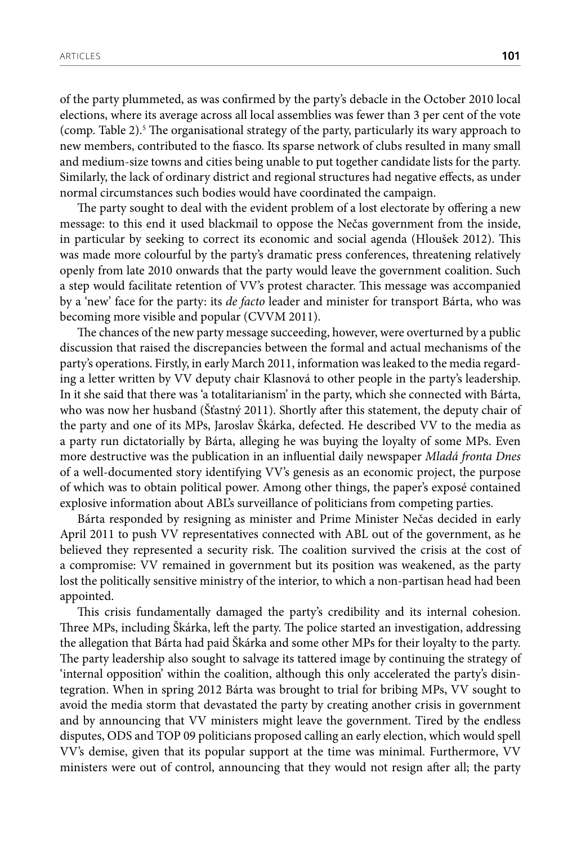of the party plummeted, as was confirmed by the party's debacle in the October 2010 local elections, where its average across all local assemblies was fewer than 3 per cent of the vote (comp. Table 2).<sup>5</sup> The organisational strategy of the party, particularly its wary approach to new members, contributed to the fiasco. Its sparse network of clubs resulted in many small and medium-size towns and cities being unable to put together candidate lists for the party. Similarly, the lack of ordinary district and regional structures had negative effects, as under normal circumstances such bodies would have coordinated the campaign.

The party sought to deal with the evident problem of a lost electorate by offering a new message: to this end it used blackmail to oppose the Nečas government from the inside, in particular by seeking to correct its economic and social agenda (Hloušek 2012). This was made more colourful by the party's dramatic press conferences, threatening relatively openly from late 2010 onwards that the party would leave the government coalition. Such a step would facilitate retention of VV's protest character. This message was accompanied by a 'new' face for the party: its *de facto* leader and minister for transport Bárta, who was becoming more visible and popular (CVVM 2011).

The chances of the new party message succeeding, however, were overturned by a public discussion that raised the discrepancies between the formal and actual mechanisms of the party's operations. Firstly, in early March 2011, information was leaked to the media regarding a letter written by VV deputy chair Klasnová to other people in the party's leadership. In it she said that there was 'a totalitarianism' in the party, which she connected with Bárta, who was now her husband (Šťastný 2011). Shortly after this statement, the deputy chair of the party and one of its MPs, Jaroslav Škárka, defected. He described VV to the media as a party run dictatorially by Bárta, alleging he was buying the loyalty of some MPs. Even more destructive was the publication in an influential daily newspaper *Mladá fronta Dnes* of a well-documented story identifying VV's genesis as an economic project, the purpose of which was to obtain political power. Among other things, the paper's exposé contained explosive information about ABL's surveillance of politicians from competing parties.

Bárta responded by resigning as minister and Prime Minister Nečas decided in early April 2011 to push VV representatives connected with ABL out of the government, as he believed they represented a security risk. The coalition survived the crisis at the cost of a compromise: VV remained in government but its position was weakened, as the party lost the politically sensitive ministry of the interior, to which a non-partisan head had been appointed.

This crisis fundamentally damaged the party's credibility and its internal cohesion. Three MPs, including Škárka, left the party. The police started an investigation, addressing the allegation that Bárta had paid Škárka and some other MPs for their loyalty to the party. The party leadership also sought to salvage its tattered image by continuing the strategy of 'internal opposition' within the coalition, although this only accelerated the party's disintegration. When in spring 2012 Bárta was brought to trial for bribing MPs, VV sought to avoid the media storm that devastated the party by creating another crisis in government and by announcing that VV ministers might leave the government. Tired by the endless disputes, ODS and TOP 09 politicians proposed calling an early election, which would spell VV's demise, given that its popular support at the time was minimal. Furthermore, VV ministers were out of control, announcing that they would not resign after all; the party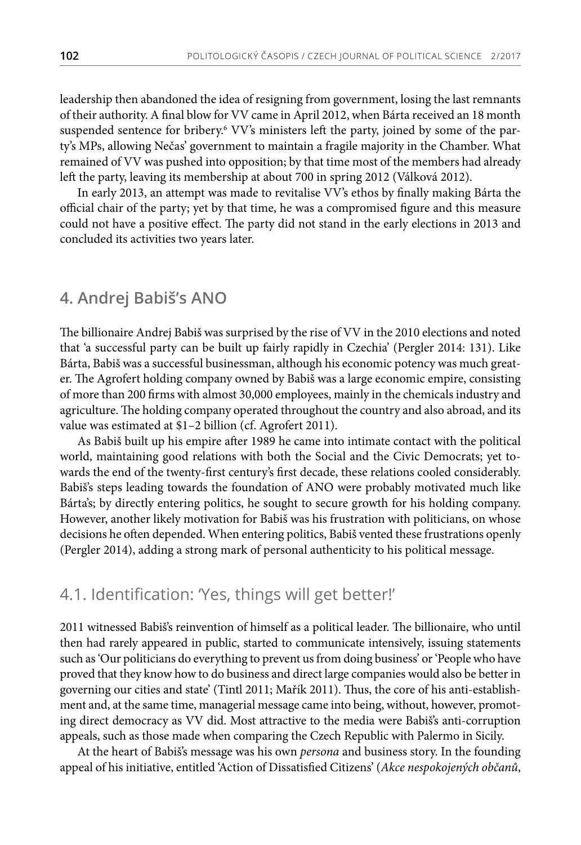leadership then abandoned the idea of resigning from government, losing the last remnants of their authority. A final blow for VV came in April 2012, when Bárta received an 18 month suspended sentence for bribery.6 VV's ministers left the party, joined by some of the party's MPs, allowing Nečas' government to maintain a fragile majority in the Chamber. What remained of VV was pushed into opposition; by that time most of the members had already left the party, leaving its membership at about 700 in spring 2012 (Válková 2012).

In early 2013, an attempt was made to revitalise VV's ethos by finally making Bárta the official chair of the party; yet by that time, he was a compromised figure and this measure could not have a positive effect. The party did not stand in the early elections in 2013 and concluded its activities two years later.

#### **4. Andrej Babiš's ANO**

The billionaire Andrej Babiš was surprised by the rise of VV in the 2010 elections and noted that 'a successful party can be built up fairly rapidly in Czechia' (Pergler 2014: 131). Like Bárta, Babiš was a successful businessman, although his economic potency was much greater. The Agrofert holding company owned by Babiš was a large economic empire, consisting of more than 200 firms with almost 30,000 employees, mainly in the chemicals industry and agriculture. The holding company operated throughout the country and also abroad, and its value was estimated at \$1–2 billion (cf. Agrofert 2011).

As Babiš built up his empire after 1989 he came into intimate contact with the political world, maintaining good relations with both the Social and the Civic Democrats; yet towards the end of the twenty-first century's first decade, these relations cooled considerably. Babiš's steps leading towards the foundation of ANO were probably motivated much like Bárta's; by directly entering politics, he sought to secure growth for his holding company. However, another likely motivation for Babiš was his frustration with politicians, on whose decisions he often depended. When entering politics, Babiš vented these frustrations openly (Pergler 2014), adding a strong mark of personal authenticity to his political message.

#### 4.1. Identification: 'Yes, things will get better!'

2011 witnessed Babiš's reinvention of himself as a political leader. The billionaire, who until then had rarely appeared in public, started to communicate intensively, issuing statements such as 'Our politicians do everything to prevent us from doing business' or 'People who have proved that they know how to do business and direct large companies would also be better in governing our cities and state' (Tintl 2011; Mařík 2011). Thus, the core of his anti-establishment and, at the same time, managerial message came into being, without, however, promoting direct democracy as VV did. Most attractive to the media were Babiš's anti-corruption appeals, such as those made when comparing the Czech Republic with Palermo in Sicily.

At the heart of Babiš's message was his own *persona* and business story. In the founding appeal of his initiative, entitled 'Action of Dissatisfied Citizens' (*Akce nespokojených občanů*,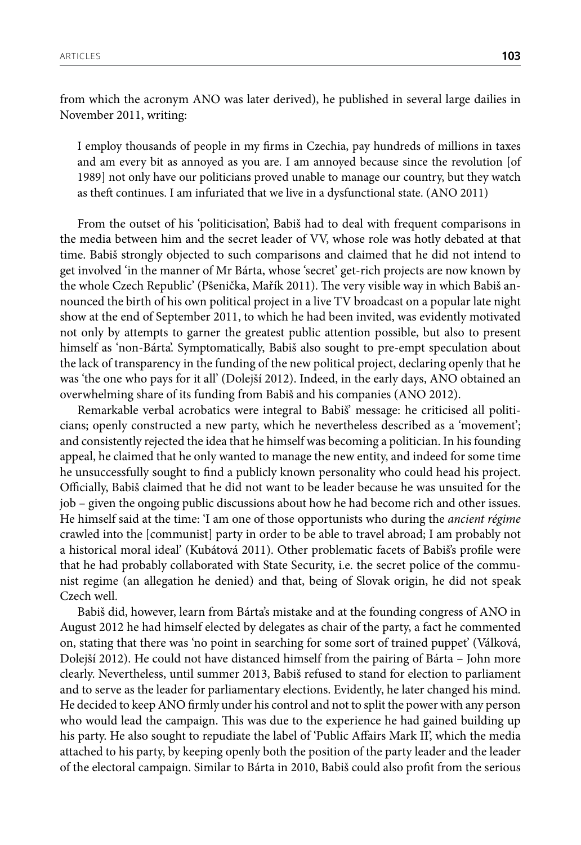from which the acronym ANO was later derived), he published in several large dailies in November 2011, writing:

I employ thousands of people in my firms in Czechia, pay hundreds of millions in taxes and am every bit as annoyed as you are. I am annoyed because since the revolution [of 1989] not only have our politicians proved unable to manage our country, but they watch as theft continues. I am infuriated that we live in a dysfunctional state. (ANO 2011)

From the outset of his 'politicisation', Babiš had to deal with frequent comparisons in the media between him and the secret leader of VV, whose role was hotly debated at that time. Babiš strongly objected to such comparisons and claimed that he did not intend to get involved 'in the manner of Mr Bárta, whose 'secret' get-rich projects are now known by the whole Czech Republic' (Pšenička, Mařík 2011). The very visible way in which Babiš announced the birth of his own political project in a live TV broadcast on a popular late night show at the end of September 2011, to which he had been invited, was evidently motivated not only by attempts to garner the greatest public attention possible, but also to present himself as 'non-Bárta'. Symptomatically, Babiš also sought to pre-empt speculation about the lack of transparency in the funding of the new political project, declaring openly that he was 'the one who pays for it all' (Dolejší 2012). Indeed, in the early days, ANO obtained an overwhelming share of its funding from Babiš and his companies (ANO 2012).

Remarkable verbal acrobatics were integral to Babiš' message: he criticised all politicians; openly constructed a new party, which he nevertheless described as a 'movement'; and consistently rejected the idea that he himself was becoming a politician. In his founding appeal, he claimed that he only wanted to manage the new entity, and indeed for some time he unsuccessfully sought to find a publicly known personality who could head his project. Officially, Babiš claimed that he did not want to be leader because he was unsuited for the job – given the ongoing public discussions about how he had become rich and other issues. He himself said at the time: 'I am one of those opportunists who during the *ancient régime* crawled into the [communist] party in order to be able to travel abroad; I am probably not a historical moral ideal' (Kubátová 2011). Other problematic facets of Babiš's profile were that he had probably collaborated with State Security, i.e. the secret police of the communist regime (an allegation he denied) and that, being of Slovak origin, he did not speak Czech well.

Babiš did, however, learn from Bárta's mistake and at the founding congress of ANO in August 2012 he had himself elected by delegates as chair of the party, a fact he commented on, stating that there was 'no point in searching for some sort of trained puppet' (Válková, Dolejší 2012). He could not have distanced himself from the pairing of Bárta – John more clearly. Nevertheless, until summer 2013, Babiš refused to stand for election to parliament and to serve as the leader for parliamentary elections. Evidently, he later changed his mind. He decided to keep ANO firmly under his control and not to split the power with any person who would lead the campaign. This was due to the experience he had gained building up his party. He also sought to repudiate the label of 'Public Affairs Mark II', which the media attached to his party, by keeping openly both the position of the party leader and the leader of the electoral campaign. Similar to Bárta in 2010, Babiš could also profit from the serious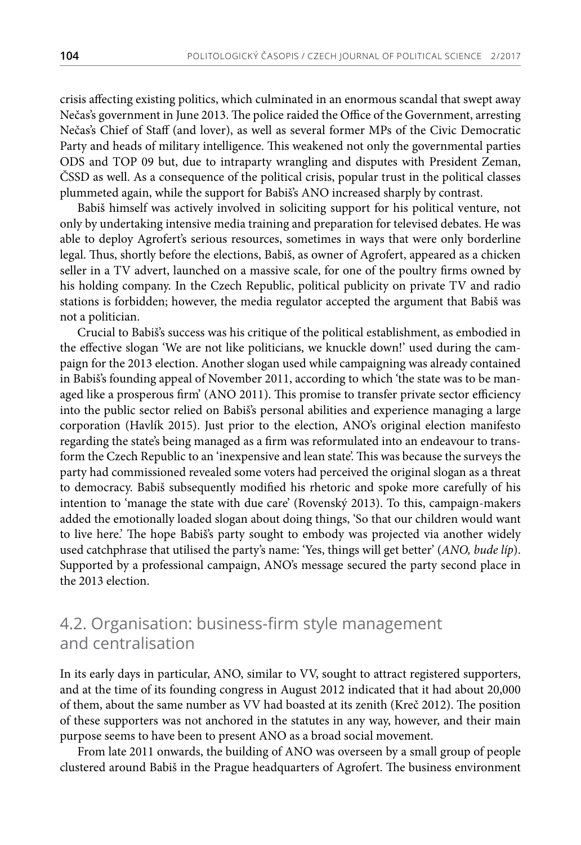crisis affecting existing politics, which culminated in an enormous scandal that swept away Nečas's government in June 2013. The police raided the Office of the Government, arresting Nečas's Chief of Staff (and lover), as well as several former MPs of the Civic Democratic Party and heads of military intelligence. This weakened not only the governmental parties ODS and TOP 09 but, due to intraparty wrangling and disputes with President Zeman, ČSSD as well. As a consequence of the political crisis, popular trust in the political classes plummeted again, while the support for Babiš's ANO increased sharply by contrast.

Babiš himself was actively involved in soliciting support for his political venture, not only by undertaking intensive media training and preparation for televised debates. He was able to deploy Agrofert's serious resources, sometimes in ways that were only borderline legal. Thus, shortly before the elections, Babiš, as owner of Agrofert, appeared as a chicken seller in a TV advert, launched on a massive scale, for one of the poultry firms owned by his holding company. In the Czech Republic, political publicity on private TV and radio stations is forbidden; however, the media regulator accepted the argument that Babiš was not a politician.

Crucial to Babiš's success was his critique of the political establishment, as embodied in the effective slogan 'We are not like politicians, we knuckle down!' used during the campaign for the 2013 election. Another slogan used while campaigning was already contained in Babiš's founding appeal of November 2011, according to which 'the state was to be managed like a prosperous firm' (ANO 2011). This promise to transfer private sector efficiency into the public sector relied on Babiš's personal abilities and experience managing a large corporation (Havlík 2015). Just prior to the election, ANO's original election manifesto regarding the state's being managed as a firm was reformulated into an endeavour to transform the Czech Republic to an 'inexpensive and lean state'. This was because the surveys the party had commissioned revealed some voters had perceived the original slogan as a threat to democracy. Babiš subsequently modified his rhetoric and spoke more carefully of his intention to 'manage the state with due care' (Rovenský 2013). To this, campaign-makers added the emotionally loaded slogan about doing things, 'So that our children would want to live here.' The hope Babiš's party sought to embody was projected via another widely used catchphrase that utilised the party's name: 'Yes, things will get better' (*ANO, bude líp*). Supported by a professional campaign, ANO's message secured the party second place in the 2013 election.

## 4.2. Organisation: business-firm style management and centralisation

In its early days in particular, ANO, similar to VV, sought to attract registered supporters, and at the time of its founding congress in August 2012 indicated that it had about 20,000 of them, about the same number as VV had boasted at its zenith (Kreč 2012). The position of these supporters was not anchored in the statutes in any way, however, and their main purpose seems to have been to present ANO as a broad social movement.

From late 2011 onwards, the building of ANO was overseen by a small group of people clustered around Babiš in the Prague headquarters of Agrofert. The business environment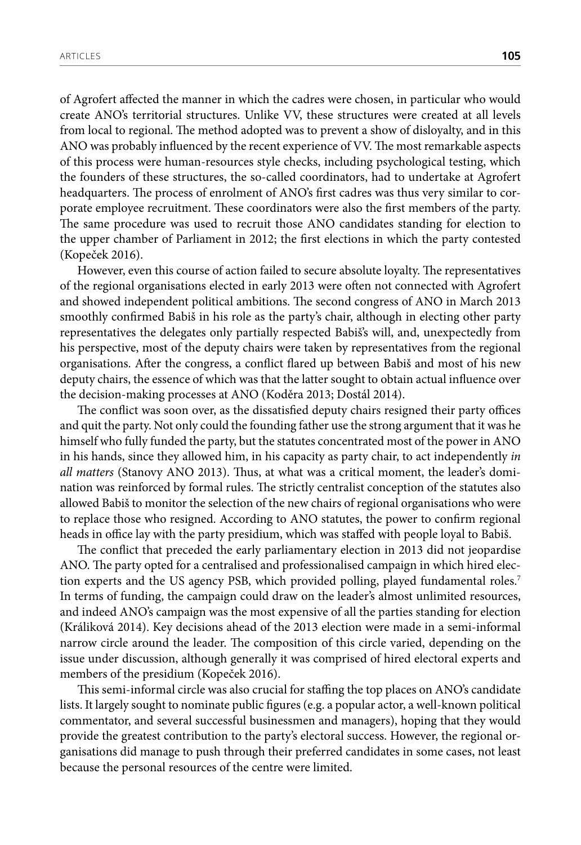of Agrofert affected the manner in which the cadres were chosen, in particular who would create ANO's territorial structures. Unlike VV, these structures were created at all levels from local to regional. The method adopted was to prevent a show of disloyalty, and in this ANO was probably influenced by the recent experience of VV. The most remarkable aspects of this process were human-resources style checks, including psychological testing, which the founders of these structures, the so-called coordinators, had to undertake at Agrofert headquarters. The process of enrolment of ANO's first cadres was thus very similar to corporate employee recruitment. These coordinators were also the first members of the party. The same procedure was used to recruit those ANO candidates standing for election to the upper chamber of Parliament in 2012; the first elections in which the party contested (Kopeček 2016).

However, even this course of action failed to secure absolute loyalty. The representatives of the regional organisations elected in early 2013 were often not connected with Agrofert and showed independent political ambitions. The second congress of ANO in March 2013 smoothly confirmed Babiš in his role as the party's chair, although in electing other party representatives the delegates only partially respected Babiš's will, and, unexpectedly from his perspective, most of the deputy chairs were taken by representatives from the regional organisations. After the congress, a conflict flared up between Babiš and most of his new deputy chairs, the essence of which was that the latter sought to obtain actual influence over the decision-making processes at ANO (Koděra 2013; Dostál 2014).

The conflict was soon over, as the dissatisfied deputy chairs resigned their party offices and quit the party. Not only could the founding father use the strong argument that it was he himself who fully funded the party, but the statutes concentrated most of the power in ANO in his hands, since they allowed him, in his capacity as party chair, to act independently *in all matters* (Stanovy ANO 2013). Thus, at what was a critical moment, the leader's domination was reinforced by formal rules. The strictly centralist conception of the statutes also allowed Babiš to monitor the selection of the new chairs of regional organisations who were to replace those who resigned. According to ANO statutes, the power to confirm regional heads in office lay with the party presidium, which was staffed with people loyal to Babiš.

The conflict that preceded the early parliamentary election in 2013 did not jeopardise ANO. The party opted for a centralised and professionalised campaign in which hired election experts and the US agency PSB, which provided polling, played fundamental roles.<sup>7</sup> In terms of funding, the campaign could draw on the leader's almost unlimited resources, and indeed ANO's campaign was the most expensive of all the parties standing for election (Králiková 2014). Key decisions ahead of the 2013 election were made in a semi-informal narrow circle around the leader. The composition of this circle varied, depending on the issue under discussion, although generally it was comprised of hired electoral experts and members of the presidium (Kopeček 2016).

This semi-informal circle was also crucial for staffing the top places on ANO's candidate lists. It largely sought to nominate public figures (e.g. a popular actor, a well-known political commentator, and several successful businessmen and managers), hoping that they would provide the greatest contribution to the party's electoral success. However, the regional organisations did manage to push through their preferred candidates in some cases, not least because the personal resources of the centre were limited.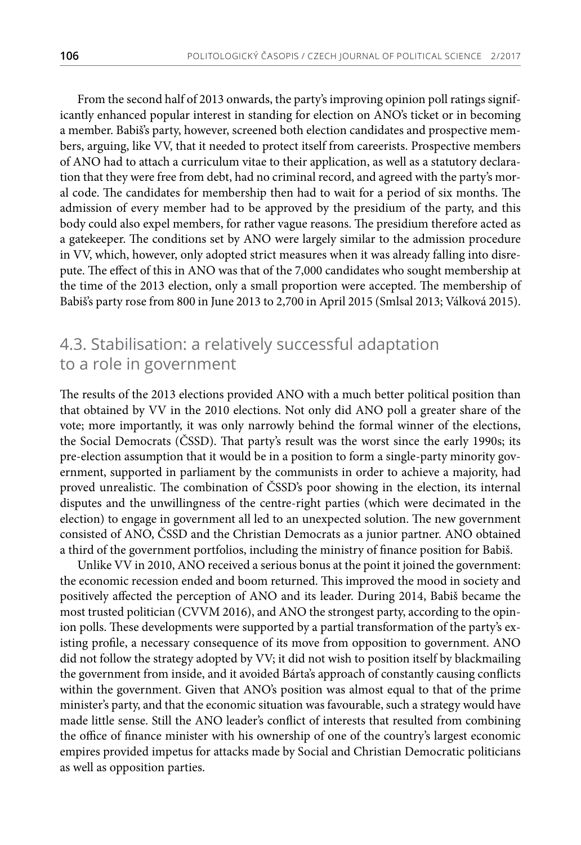From the second half of 2013 onwards, the party's improving opinion poll ratings significantly enhanced popular interest in standing for election on ANO's ticket or in becoming a member. Babiš's party, however, screened both election candidates and prospective members, arguing, like VV, that it needed to protect itself from careerists. Prospective members of ANO had to attach a curriculum vitae to their application, as well as a statutory declaration that they were free from debt, had no criminal record, and agreed with the party's moral code. The candidates for membership then had to wait for a period of six months. The admission of every member had to be approved by the presidium of the party, and this body could also expel members, for rather vague reasons. The presidium therefore acted as a gatekeeper. The conditions set by ANO were largely similar to the admission procedure in VV, which, however, only adopted strict measures when it was already falling into disrepute. The effect of this in ANO was that of the 7,000 candidates who sought membership at the time of the 2013 election, only a small proportion were accepted. The membership of Babiš's party rose from 800 in June 2013 to 2,700 in April 2015 (Smlsal 2013; Válková 2015).

## 4.3. Stabilisation: a relatively successful adaptation to a role in government

The results of the 2013 elections provided ANO with a much better political position than that obtained by VV in the 2010 elections. Not only did ANO poll a greater share of the vote; more importantly, it was only narrowly behind the formal winner of the elections, the Social Democrats (ČSSD). That party's result was the worst since the early 1990s; its pre-election assumption that it would be in a position to form a single-party minority government, supported in parliament by the communists in order to achieve a majority, had proved unrealistic. The combination of ČSSD's poor showing in the election, its internal disputes and the unwillingness of the centre-right parties (which were decimated in the election) to engage in government all led to an unexpected solution. The new government consisted of ANO, ČSSD and the Christian Democrats as a junior partner. ANO obtained a third of the government portfolios, including the ministry of finance position for Babiš.

Unlike VV in 2010, ANO received a serious bonus at the point it joined the government: the economic recession ended and boom returned. This improved the mood in society and positively affected the perception of ANO and its leader. During 2014, Babiš became the most trusted politician (CVVM 2016), and ANO the strongest party, according to the opinion polls. These developments were supported by a partial transformation of the party's existing profile, a necessary consequence of its move from opposition to government. ANO did not follow the strategy adopted by VV; it did not wish to position itself by blackmailing the government from inside, and it avoided Bárta's approach of constantly causing conflicts within the government. Given that ANO's position was almost equal to that of the prime minister's party, and that the economic situation was favourable, such a strategy would have made little sense. Still the ANO leader's conflict of interests that resulted from combining the office of finance minister with his ownership of one of the country's largest economic empires provided impetus for attacks made by Social and Christian Democratic politicians as well as opposition parties.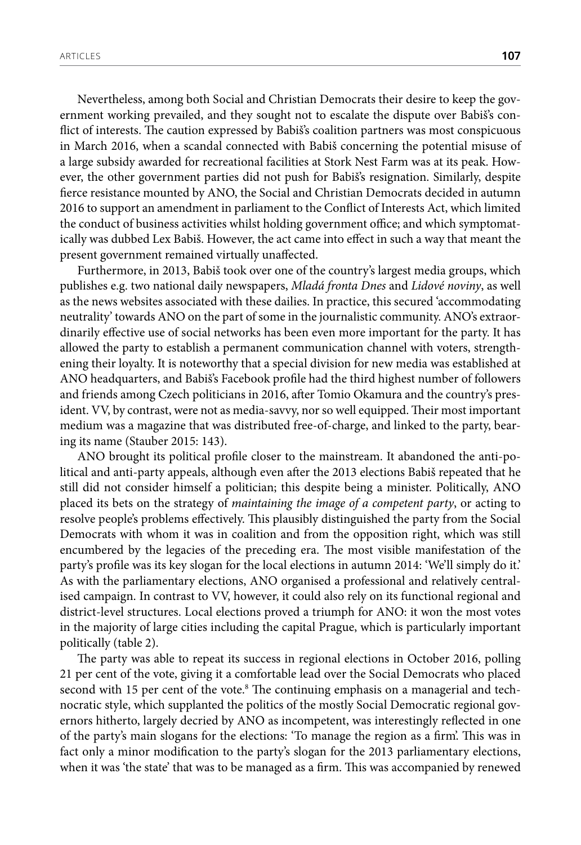Nevertheless, among both Social and Christian Democrats their desire to keep the government working prevailed, and they sought not to escalate the dispute over Babiš's conflict of interests. The caution expressed by Babiš's coalition partners was most conspicuous in March 2016, when a scandal connected with Babiš concerning the potential misuse of a large subsidy awarded for recreational facilities at Stork Nest Farm was at its peak. However, the other government parties did not push for Babiš's resignation. Similarly, despite fierce resistance mounted by ANO, the Social and Christian Democrats decided in autumn 2016 to support an amendment in parliament to the Conflict of Interests Act, which limited the conduct of business activities whilst holding government office; and which symptomatically was dubbed Lex Babiš. However, the act came into effect in such a way that meant the present government remained virtually unaffected.

Furthermore, in 2013, Babiš took over one of the country's largest media groups, which publishes e.g. two national daily newspapers, *Mladá fronta Dnes* and *Lidové noviny*, as well as the news websites associated with these dailies. In practice, this secured 'accommodating neutrality' towards ANO on the part of some in the journalistic community. ANO's extraordinarily effective use of social networks has been even more important for the party. It has allowed the party to establish a permanent communication channel with voters, strengthening their loyalty. It is noteworthy that a special division for new media was established at ANO headquarters, and Babiš's Facebook profile had the third highest number of followers and friends among Czech politicians in 2016, after Tomio Okamura and the country's president. VV, by contrast, were not as media-savvy, nor so well equipped. Their most important medium was a magazine that was distributed free-of-charge, and linked to the party, bearing its name (Stauber 2015: 143).

ANO brought its political profile closer to the mainstream. It abandoned the anti-political and anti-party appeals, although even after the 2013 elections Babiš repeated that he still did not consider himself a politician; this despite being a minister. Politically, ANO placed its bets on the strategy of *maintaining the image of a competent party*, or acting to resolve people's problems effectively. This plausibly distinguished the party from the Social Democrats with whom it was in coalition and from the opposition right, which was still encumbered by the legacies of the preceding era. The most visible manifestation of the party's profile was its key slogan for the local elections in autumn 2014: 'We'll simply do it.' As with the parliamentary elections, ANO organised a professional and relatively centralised campaign. In contrast to VV, however, it could also rely on its functional regional and district-level structures. Local elections proved a triumph for ANO: it won the most votes in the majority of large cities including the capital Prague, which is particularly important politically (table 2).

The party was able to repeat its success in regional elections in October 2016, polling 21 per cent of the vote, giving it a comfortable lead over the Social Democrats who placed second with 15 per cent of the vote.<sup>8</sup> The continuing emphasis on a managerial and technocratic style, which supplanted the politics of the mostly Social Democratic regional governors hitherto, largely decried by ANO as incompetent, was interestingly reflected in one of the party's main slogans for the elections: 'To manage the region as a firm'. This was in fact only a minor modification to the party's slogan for the 2013 parliamentary elections, when it was 'the state' that was to be managed as a firm. This was accompanied by renewed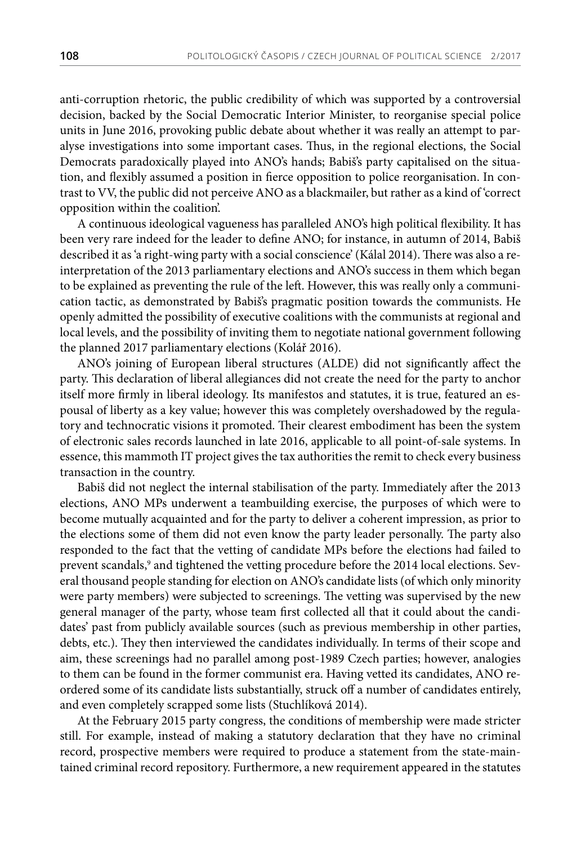anti-corruption rhetoric, the public credibility of which was supported by a controversial decision, backed by the Social Democratic Interior Minister, to reorganise special police units in June 2016, provoking public debate about whether it was really an attempt to paralyse investigations into some important cases. Thus, in the regional elections, the Social Democrats paradoxically played into ANO's hands; Babiš's party capitalised on the situation, and flexibly assumed a position in fierce opposition to police reorganisation. In contrast to VV, the public did not perceive ANO as a blackmailer, but rather as a kind of 'correct opposition within the coalition'.

A continuous ideological vagueness has paralleled ANO's high political flexibility. It has been very rare indeed for the leader to define ANO; for instance, in autumn of 2014, Babiš described it as 'a right-wing party with a social conscience' (Kálal 2014). There was also a reinterpretation of the 2013 parliamentary elections and ANO's success in them which began to be explained as preventing the rule of the left. However, this was really only a communication tactic, as demonstrated by Babiš's pragmatic position towards the communists. He openly admitted the possibility of executive coalitions with the communists at regional and local levels, and the possibility of inviting them to negotiate national government following the planned 2017 parliamentary elections (Kolář 2016).

ANO's joining of European liberal structures (ALDE) did not significantly affect the party. This declaration of liberal allegiances did not create the need for the party to anchor itself more firmly in liberal ideology. Its manifestos and statutes, it is true, featured an espousal of liberty as a key value; however this was completely overshadowed by the regulatory and technocratic visions it promoted. Their clearest embodiment has been the system of electronic sales records launched in late 2016, applicable to all point-of-sale systems. In essence, this mammoth IT project gives the tax authorities the remit to check every business transaction in the country.

Babiš did not neglect the internal stabilisation of the party. Immediately after the 2013 elections, ANO MPs underwent a teambuilding exercise, the purposes of which were to become mutually acquainted and for the party to deliver a coherent impression, as prior to the elections some of them did not even know the party leader personally. The party also responded to the fact that the vetting of candidate MPs before the elections had failed to prevent scandals,<sup>9</sup> and tightened the vetting procedure before the 2014 local elections. Several thousand people standing for election on ANO's candidate lists (of which only minority were party members) were subjected to screenings. The vetting was supervised by the new general manager of the party, whose team first collected all that it could about the candidates' past from publicly available sources (such as previous membership in other parties, debts, etc.). They then interviewed the candidates individually. In terms of their scope and aim, these screenings had no parallel among post-1989 Czech parties; however, analogies to them can be found in the former communist era. Having vetted its candidates, ANO reordered some of its candidate lists substantially, struck off a number of candidates entirely, and even completely scrapped some lists (Stuchlíková 2014).

At the February 2015 party congress, the conditions of membership were made stricter still. For example, instead of making a statutory declaration that they have no criminal record, prospective members were required to produce a statement from the state-maintained criminal record repository. Furthermore, a new requirement appeared in the statutes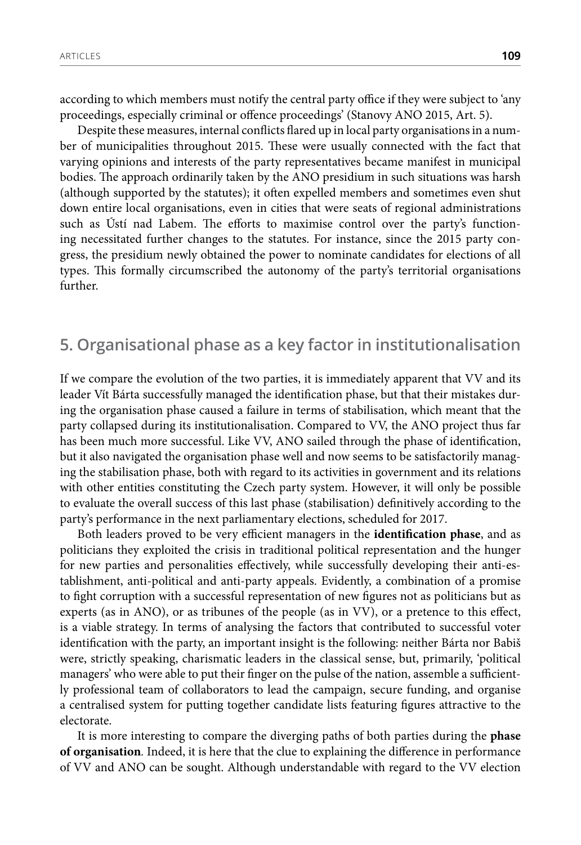according to which members must notify the central party office if they were subject to 'any proceedings, especially criminal or offence proceedings' (Stanovy ANO 2015, Art. 5).

Despite these measures, internal conflicts flared up in local party organisations in a number of municipalities throughout 2015. These were usually connected with the fact that varying opinions and interests of the party representatives became manifest in municipal bodies. The approach ordinarily taken by the ANO presidium in such situations was harsh (although supported by the statutes); it often expelled members and sometimes even shut down entire local organisations, even in cities that were seats of regional administrations such as Ústí nad Labem. The efforts to maximise control over the party's functioning necessitated further changes to the statutes. For instance, since the 2015 party congress, the presidium newly obtained the power to nominate candidates for elections of all types. This formally circumscribed the autonomy of the party's territorial organisations further.

#### **5. Organisational phase as a key factor in institutionalisation**

If we compare the evolution of the two parties, it is immediately apparent that VV and its leader Vít Bárta successfully managed the identification phase, but that their mistakes during the organisation phase caused a failure in terms of stabilisation, which meant that the party collapsed during its institutionalisation. Compared to VV, the ANO project thus far has been much more successful. Like VV, ANO sailed through the phase of identification, but it also navigated the organisation phase well and now seems to be satisfactorily managing the stabilisation phase, both with regard to its activities in government and its relations with other entities constituting the Czech party system. However, it will only be possible to evaluate the overall success of this last phase (stabilisation) definitively according to the party's performance in the next parliamentary elections, scheduled for 2017.

Both leaders proved to be very efficient managers in the **identification phase**, and as politicians they exploited the crisis in traditional political representation and the hunger for new parties and personalities effectively, while successfully developing their anti-establishment, anti-political and anti-party appeals. Evidently, a combination of a promise to fight corruption with a successful representation of new figures not as politicians but as experts (as in ANO), or as tribunes of the people (as in VV), or a pretence to this effect, is a viable strategy. In terms of analysing the factors that contributed to successful voter identification with the party, an important insight is the following: neither Bárta nor Babiš were, strictly speaking, charismatic leaders in the classical sense, but, primarily, 'political managers' who were able to put their finger on the pulse of the nation, assemble a sufficiently professional team of collaborators to lead the campaign, secure funding, and organise a centralised system for putting together candidate lists featuring figures attractive to the electorate.

It is more interesting to compare the diverging paths of both parties during the **phase of organisation***.* Indeed, it is here that the clue to explaining the difference in performance of VV and ANO can be sought. Although understandable with regard to the VV election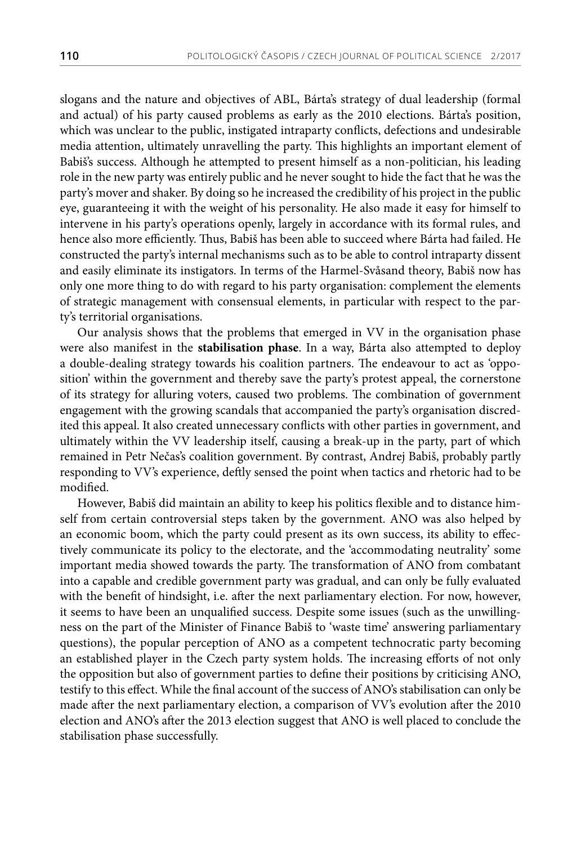slogans and the nature and objectives of ABL, Bárta's strategy of dual leadership (formal and actual) of his party caused problems as early as the 2010 elections. Bárta's position, which was unclear to the public, instigated intraparty conflicts, defections and undesirable media attention, ultimately unravelling the party. This highlights an important element of Babiš's success. Although he attempted to present himself as a non-politician, his leading role in the new party was entirely public and he never sought to hide the fact that he was the party's mover and shaker. By doing so he increased the credibility of his project in the public eye, guaranteeing it with the weight of his personality. He also made it easy for himself to intervene in his party's operations openly, largely in accordance with its formal rules, and hence also more efficiently. Thus, Babiš has been able to succeed where Bárta had failed. He constructed the party's internal mechanisms such as to be able to control intraparty dissent and easily eliminate its instigators. In terms of the Harmel-Svåsand theory, Babiš now has only one more thing to do with regard to his party organisation: complement the elements of strategic management with consensual elements, in particular with respect to the party's territorial organisations.

Our analysis shows that the problems that emerged in VV in the organisation phase were also manifest in the **stabilisation phase**. In a way, Bárta also attempted to deploy a double-dealing strategy towards his coalition partners. The endeavour to act as 'opposition' within the government and thereby save the party's protest appeal, the cornerstone of its strategy for alluring voters, caused two problems. The combination of government engagement with the growing scandals that accompanied the party's organisation discredited this appeal. It also created unnecessary conflicts with other parties in government, and ultimately within the VV leadership itself, causing a break-up in the party, part of which remained in Petr Nečas's coalition government. By contrast, Andrej Babiš, probably partly responding to VV's experience, deftly sensed the point when tactics and rhetoric had to be modified.

However, Babiš did maintain an ability to keep his politics flexible and to distance himself from certain controversial steps taken by the government. ANO was also helped by an economic boom, which the party could present as its own success, its ability to effectively communicate its policy to the electorate, and the 'accommodating neutrality' some important media showed towards the party. The transformation of ANO from combatant into a capable and credible government party was gradual, and can only be fully evaluated with the benefit of hindsight, i.e. after the next parliamentary election. For now, however, it seems to have been an unqualified success. Despite some issues (such as the unwillingness on the part of the Minister of Finance Babiš to 'waste time' answering parliamentary questions), the popular perception of ANO as a competent technocratic party becoming an established player in the Czech party system holds. The increasing efforts of not only the opposition but also of government parties to define their positions by criticising ANO, testify to this effect. While the final account of the success of ANO's stabilisation can only be made after the next parliamentary election, a comparison of VV's evolution after the 2010 election and ANO's after the 2013 election suggest that ANO is well placed to conclude the stabilisation phase successfully.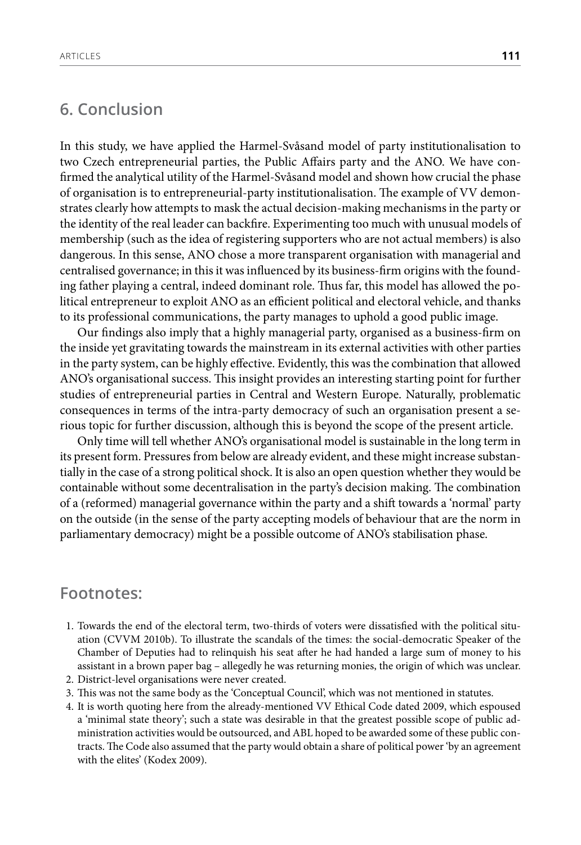## **6. Conclusion**

In this study, we have applied the Harmel-Svåsand model of party institutionalisation to two Czech entrepreneurial parties, the Public Affairs party and the ANO. We have confirmed the analytical utility of the Harmel-Svåsand model and shown how crucial the phase of organisation is to entrepreneurial-party institutionalisation. The example of VV demonstrates clearly how attempts to mask the actual decision-making mechanisms in the party or the identity of the real leader can backfire. Experimenting too much with unusual models of membership (such as the idea of registering supporters who are not actual members) is also dangerous. In this sense, ANO chose a more transparent organisation with managerial and centralised governance; in this it was influenced by its business-firm origins with the founding father playing a central, indeed dominant role. Thus far, this model has allowed the political entrepreneur to exploit ANO as an efficient political and electoral vehicle, and thanks to its professional communications, the party manages to uphold a good public image.

Our findings also imply that a highly managerial party, organised as a business-firm on the inside yet gravitating towards the mainstream in its external activities with other parties in the party system, can be highly effective. Evidently, this was the combination that allowed ANO's organisational success. This insight provides an interesting starting point for further studies of entrepreneurial parties in Central and Western Europe. Naturally, problematic consequences in terms of the intra-party democracy of such an organisation present a serious topic for further discussion, although this is beyond the scope of the present article.

Only time will tell whether ANO's organisational model is sustainable in the long term in its present form. Pressures from below are already evident, and these might increase substantially in the case of a strong political shock. It is also an open question whether they would be containable without some decentralisation in the party's decision making. The combination of a (reformed) managerial governance within the party and a shift towards a 'normal' party on the outside (in the sense of the party accepting models of behaviour that are the norm in parliamentary democracy) might be a possible outcome of ANO's stabilisation phase.

#### **Footnotes:**

- 1. Towards the end of the electoral term, two-thirds of voters were dissatisfied with the political situation (CVVM 2010b). To illustrate the scandals of the times: the social-democratic Speaker of the Chamber of Deputies had to relinquish his seat after he had handed a large sum of money to his assistant in a brown paper bag – allegedly he was returning monies, the origin of which was unclear.
- 2. District-level organisations were never created.
- 3. This was not the same body as the 'Conceptual Council', which was not mentioned in statutes.
- 4. It is worth quoting here from the already-mentioned VV Ethical Code dated 2009, which espoused a 'minimal state theory'; such a state was desirable in that the greatest possible scope of public administration activities would be outsourced, and ABL hoped to be awarded some of these public contracts. The Code also assumed that the party would obtain a share of political power 'by an agreement with the elites' (Kodex 2009).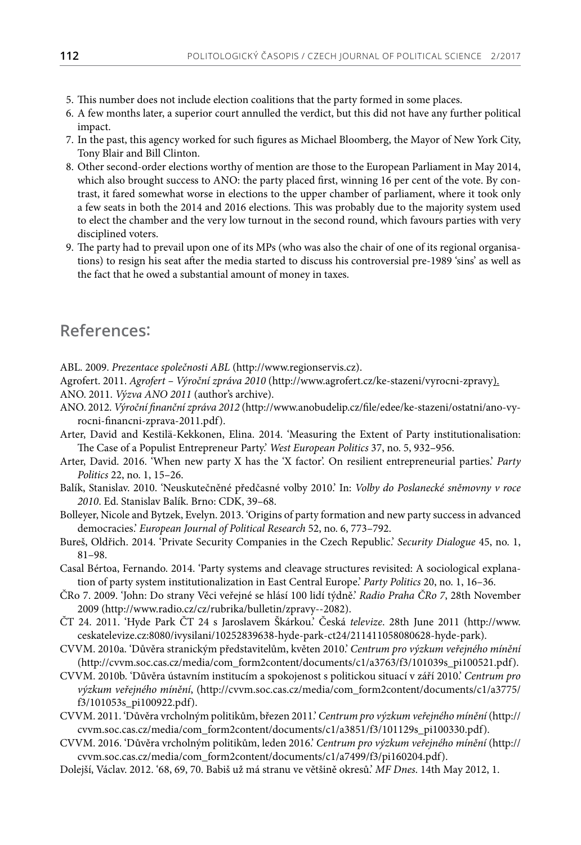- 5. This number does not include election coalitions that the party formed in some places.
- 6. A few months later, a superior court annulled the verdict, but this did not have any further political impact.
- 7. In the past, this agency worked for such figures as Michael Bloomberg, the Mayor of New York City, Tony Blair and Bill Clinton.
- 8. Other second-order elections worthy of mention are those to the European Parliament in May 2014, which also brought success to ANO: the party placed first, winning 16 per cent of the vote. By contrast, it fared somewhat worse in elections to the upper chamber of parliament, where it took only a few seats in both the 2014 and 2016 elections. This was probably due to the majority system used to elect the chamber and the very low turnout in the second round, which favours parties with very disciplined voters.
- 9. The party had to prevail upon one of its MPs (who was also the chair of one of its regional organisations) to resign his seat after the media started to discuss his controversial pre-1989 'sins' as well as the fact that he owed a substantial amount of money in taxes.

#### **References:**

ABL. 2009. *Prezentace společnosti ABL* (http://www.regionservis.cz).

- Agrofert. 2011. *Agrofert Výroční zpráva 2010* (http://www.agrofert.cz/ke-stazeni/vyrocni-zpravy). ANO. 2011. *Výzva ANO 2011* (author's archive).
- ANO. 2012. *Výroční finanční zpráva 2012* (http://www.anobudelip.cz/file/edee/ke-stazeni/ostatni/ano-vyrocni-financni-zprava-2011.pdf).
- Arter, David and Kestilä-Kekkonen, Elina. 2014. 'Measuring the Extent of Party institutionalisation: The Case of a Populist Entrepreneur Party.' *West European Politics* 37, no. 5, 932–956.
- Arter, David. 2016. 'When new party X has the 'X factor'. On resilient entrepreneurial parties.' *Party Politics* 22, no. 1, 15–26.
- Balík, Stanislav. 2010. 'Neuskutečněné předčasné volby 2010.' In: *Volby do Poslanecké sněmovny v roce 2010*. Ed. Stanislav Balík. Brno: CDK, 39–68.
- Bolleyer, Nicole and Bytzek, Evelyn. 2013. 'Origins of party formation and new party success in advanced democracies.' *European Journal of Political Research* 52, no. 6, 773–792.
- Bureš, Oldřich. 2014. 'Private Security Companies in the Czech Republic.' *Security Dialogue* 45, no. 1, 81–98.
- Casal Bértoa, Fernando. 2014. 'Party systems and cleavage structures revisited: A sociological explanation of party system institutionalization in East Central Europe.' *Party Politics* 20, no. 1, 16–36.
- ČRo 7. 2009. 'John: Do strany Věci veřejné se hlásí 100 lidí týdně.' *Radio Praha ČRo 7*, 28th November 2009 (http://www.radio.cz/cz/rubrika/bulletin/zpravy--2082).
- ČT 24. 2011. 'Hyde Park ČT 24 s Jaroslavem Škárkou.' Česká *televize*. 28th June 2011 (http://www. ceskatelevize.cz:8080/ivysilani/10252839638-hyde-park-ct24/211411058080628-hyde-park).
- CVVM. 2010a. 'Důvěra stranickým představitelům, květen 2010.' *Centrum pro výzkum veřejného mínění* (http://cvvm.soc.cas.cz/media/com\_form2content/documents/c1/a3763/f3/101039s\_pi100521.pdf).
- CVVM. 2010b. 'Důvěra ústavním institucím a spokojenost s politickou situací v září 2010.' *Centrum pro výzkum veřejného mínění*, (http://cvvm.soc.cas.cz/media/com\_form2content/documents/c1/a3775/ f3/101053s\_pi100922.pdf).
- CVVM. 2011. 'Důvěra vrcholným politikům, březen 2011.' *Centrum pro výzkum veřejného mínění* (http:// cvvm.soc.cas.cz/media/com\_form2content/documents/c1/a3851/f3/101129s\_pi100330.pdf).
- CVVM. 2016. 'Důvěra vrcholným politikům, leden 2016.' *Centrum pro výzkum veřejného mínění* (http:// cvvm.soc.cas.cz/media/com\_form2content/documents/c1/a7499/f3/pi160204.pdf).
- Dolejší, Václav. 2012. '68, 69, 70. Babiš už má stranu ve většině okresů.' *MF Dnes*. 14th May 2012, 1.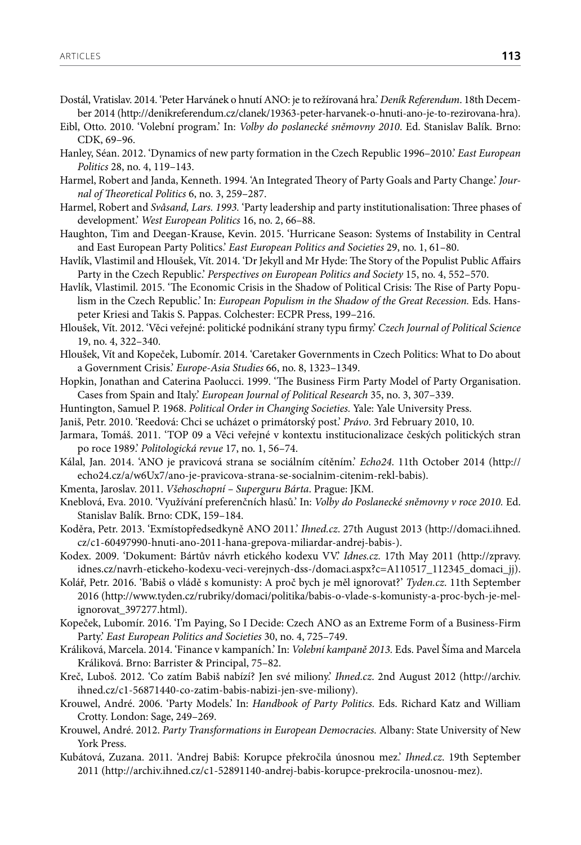- Dostál, Vratislav. 2014. 'Peter Harvánek o hnutí ANO: je to režírovaná hra.' *Deník Referendum*. 18th December 2014 (http://denikreferendum.cz/clanek/19363-peter-harvanek-o-hnuti-ano-je-to-rezirovana-hra).
- Eibl, Otto. 2010. 'Volební program.' In: *Volby do poslanecké sněmovny 2010*. Ed. Stanislav Balík. Brno: CDK, 69–96.
- Hanley, Séan. 2012. 'Dynamics of new party formation in the Czech Republic 1996–2010.' *East European Politics* 28, no. 4, 119–143.
- Harmel, Robert and Janda, Kenneth. 1994. 'An Integrated Theory of Party Goals and Party Change.' *Journal of Theoretical Politics* 6, no. 3, 259–287.
- Harmel, Robert and *Svåsand, Lars. 1993.* 'Party leadership and party institutionalisation: Three phases of development.' *West European Politics* 16, no. 2, 66–88.
- Haughton, Tim and Deegan-Krause, Kevin. 2015. 'Hurricane Season: Systems of Instability in Central and East European Party Politics.' *East European Politics and Societies* 29, no. 1, 61–80.
- Havlík, Vlastimil and Hloušek, Vít. 2014. 'Dr Jekyll and Mr Hyde: The Story of the Populist Public Affairs Party in the Czech Republic.' *Perspectives on European Politics and Society* 15, no. 4, 552–570.
- Havlík, Vlastimil. 2015. 'The Economic Crisis in the Shadow of Political Crisis: The Rise of Party Populism in the Czech Republic.' In: *European Populism in the Shadow of the Great Recession.* Eds. Hanspeter Kriesi and Takis S. Pappas. Colchester: ECPR Press, 199–216.
- Hloušek, Vít. 2012. 'Věci veřejné: politické podnikání strany typu firmy.' *Czech Journal of Political Science* 19, no. 4, 322–340.
- Hloušek, Vít and Kopeček, Lubomír. 2014. 'Caretaker Governments in Czech Politics: What to Do about a Government Crisis.' *Europe-Asia Studies* 66, no. 8, 1323–1349.
- Hopkin, Jonathan and Caterina Paolucci. 1999. 'The Business Firm Party Model of Party Organisation. Cases from Spain and Italy.' *European Journal of Political Research* 35, no. 3, 307–339.
- Huntington, Samuel P. 1968. *Political Order in Changing Societies.* Yale: Yale University Press.
- Janiš, Petr. 2010. 'Reedová: Chci se ucházet o primátorský post.' *Právo*. 3rd February 2010, 10.
- Jarmara, Tomáš. 2011. 'TOP 09 a Věci veřejné v kontextu institucionalizace českých politických stran po roce 1989.' *Politologická revue* 17, no. 1, 56–74.
- Kálal, Jan. 2014. 'ANO je pravicová strana se sociálním cítěním.' *Echo24*. 11th October 2014 (http:// echo24.cz/a/w6Ux7/ano-je-pravicova-strana-se-socialnim-citenim-rekl-babis).
- Kmenta, Jaroslav. 2011. *Všehoschopní Superguru Bárta*. Prague: JKM.
- Kneblová, Eva. 2010. 'Využívání preferenčních hlasů.' In: *Volby do Poslanecké sněmovny v roce 2010.* Ed. Stanislav Balík. Brno: CDK, 159–184.
- Koděra, Petr. 2013. 'Exmístopředsedkyně ANO 2011.' *Ihned.cz*. 27th August 2013 (http://domaci.ihned. cz/c1-60497990-hnuti-ano-2011-hana-grepova-miliardar-andrej-babis-).
- Kodex. 2009. 'Dokument: Bártův návrh etického kodexu VV.' *Idnes.cz.* 17th May 2011 (http://zpravy. idnes.cz/navrh-etickeho-kodexu-veci-verejnych-dss-/domaci.aspx?c=A110517\_112345\_domaci\_jj).
- Kolář, Petr. 2016. 'Babiš o vládě s komunisty: A proč bych je měl ignorovat?' *Tyden.cz*. 11th September 2016 (http://www.tyden.cz/rubriky/domaci/politika/babis-o-vlade-s-komunisty-a-proc-bych-je-melignorovat\_397277.html).
- Kopeček, Lubomír. 2016. 'I'm Paying, So I Decide: Czech ANO as an Extreme Form of a Business-Firm Party.' *East European Politics and Societies* 30, no. 4, 725–749.
- Králiková, Marcela. 2014. 'Finance v kampaních.' In: *Volební kampaně 2013.* Eds. Pavel Šíma and Marcela Králiková. Brno: Barrister & Principal, 75–82.
- Kreč, Luboš. 2012. 'Co zatím Babiš nabízí? Jen své miliony.' *Ihned.cz*. 2nd August 2012 (http://archiv. ihned.cz/c1-56871440-co-zatim-babis-nabizi-jen-sve-miliony).
- Krouwel, André. 2006. 'Party Models.' In: *Handbook of Party Politics.* Eds. Richard Katz and William Crotty. London: Sage, 249–269.
- Krouwel, André. 2012. *Party Transformations in European Democracies.* Albany: State University of New York Press.
- Kubátová, Zuzana. 2011. 'Andrej Babiš: Korupce překročila únosnou mez.' *Ihned.cz*. 19th September 2011 (http://archiv.ihned.cz/c1-52891140-andrej-babis-korupce-prekrocila-unosnou-mez).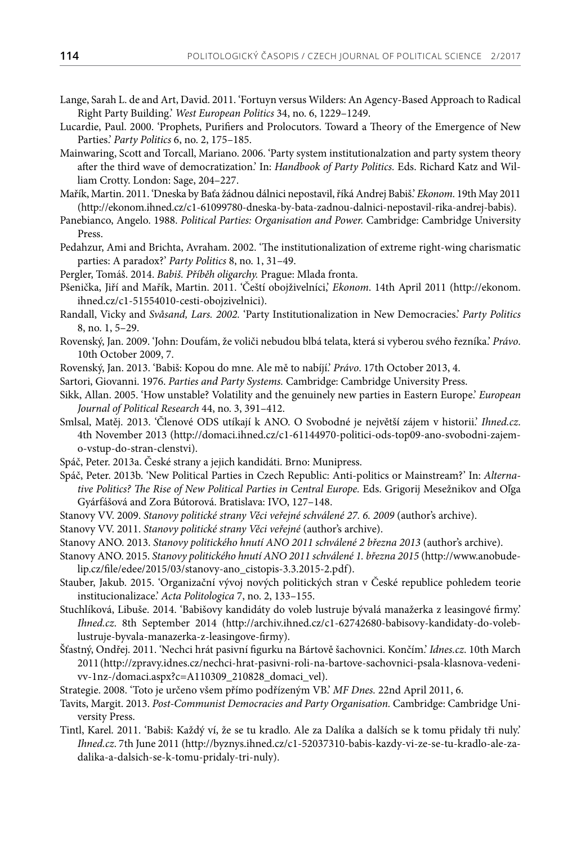- Lange, Sarah L. de and Art, David. 2011. 'Fortuyn versus Wilders: An Agency-Based Approach to Radical Right Party Building.' *West European Politics* 34, no. 6, 1229–1249.
- Lucardie, Paul. 2000. 'Prophets, Purifiers and Prolocutors. Toward a Theory of the Emergence of New Parties.' *Party Politics* 6, no. 2, 175–185.
- Mainwaring, Scott and Torcall, Mariano. 2006. 'Party system institutionalzation and party system theory after the third wave of democratization.' In: *Handbook of Party Politics.* Eds. Richard Katz and William Crotty. London: Sage, 204–227.
- Mařík, Martin. 2011. 'Dneska by Baťa žádnou dálnici nepostavil, říká Andrej Babiš.' *Ekonom*. 19th May 2011 (http://ekonom.ihned.cz/c1-61099780-dneska-by-bata-zadnou-dalnici-nepostavil-rika-andrej-babis).
- Panebianco, Angelo. 1988. *Political Parties: Organisation and Power.* Cambridge: Cambridge University Press.
- Pedahzur, Ami and Brichta, Avraham. 2002. 'The institutionalization of extreme right-wing charismatic parties: A paradox?' *Party Politics* 8, no. 1, 31–49.
- Pergler, Tomáš. 2014. *Babiš. Příběh oligarchy.* Prague: Mlada fronta.
- Pšenička, Jiří and Mařík, Martin. 2011. 'Čeští obojživelníci,' *Ekonom*. 14th April 2011 (http://ekonom. ihned.cz/c1-51554010-cesti-obojzivelnici).
- Randall, Vicky and *Svåsand, Lars. 2002.* 'Party Institutionalization in New Democracies.' *Party Politics*  8, no. 1, 5–29.
- Rovenský, Jan. 2009. 'John: Doufám, že voliči nebudou blbá telata, která si vyberou svého řezníka.' *Právo*. 10th October 2009, 7.
- Rovenský, Jan. 2013. 'Babiš: Kopou do mne. Ale mě to nabíjí.' *Právo*. 17th October 2013, 4.
- Sartori, Giovanni. 1976. *Parties and Party Systems.* Cambridge: Cambridge University Press.
- Sikk, Allan. 2005. 'How unstable? Volatility and the genuinely new parties in Eastern Europe.' *European Journal of Political Research* 44, no. 3, 391–412.
- Smlsal, Matěj. 2013. 'Členové ODS utíkají k ANO. O Svobodné je největší zájem v historii.' *[Ihned.cz](http://www.ihned.cz)*. 4th November 2013 (http://domaci.ihned.cz/c1-61144970-politici-ods-top09-ano-svobodni-zajemo-vstup-do-stran-clenstvi).
- Spáč, Peter. 2013a. České strany a jejich kandidáti. Brno: Munipress.
- Spáč, Peter. 2013b. 'New Political Parties in Czech Republic: Anti-politics or Mainstream?' In: *Alternative Politics? The Rise of New Political Parties in Central Europe.* Eds. Grigorij Mesežnikov and Oľga Gyárfášová and Zora Bútorová. Bratislava: IVO, 127–148.
- Stanovy VV. 2009. *Stanovy politické strany Věci veřejné schválené 27. 6. 2009* (author's archive).
- Stanovy VV. 2011. *Stanovy politické strany Věci veřejné* (author's archive).
- Stanovy ANO. 2013. *Stanovy politického hnutí ANO 2011 schválené 2 března 2013* (author's archive).
- Stanovy ANO. 2015. *Stanovy politického hnutí ANO 2011 schválené 1. března 2015* (http://www.anobudelip.cz/file/edee/2015/03/stanovy-ano\_cistopis-3.3.2015-2.pdf).
- Stauber, Jakub. 2015. 'Organizační vývoj nových politických stran v České republice pohledem teorie institucionalizace.' *Acta Politologica* 7, no. 2, 133–155.
- Stuchlíková, Libuše. 2014. 'Babišovy kandidáty do voleb lustruje bývalá manažerka z leasingové firmy.' *Ihned.cz*. 8th September 2014 (http://archiv.ihned.cz/c1-62742680-babisovy-kandidaty-do-voleblustruje-byvala-manazerka-z-leasingove-firmy).
- Šťastný, Ondřej. 2011. 'Nechci hrát pasivní figurku na Bártově šachovnici. Končím.' *Idnes.cz*. 10th March 2011 (http://zpravy.idnes.cz/nechci-hrat-pasivni-roli-na-bartove-sachovnici-psala-klasnova-vedenivv-1nz-/domaci.aspx?c=A110309\_210828\_domaci\_vel).
- Strategie. 2008. 'Toto je určeno všem přímo podřízeným VB.' *MF Dnes.* 22nd April 2011, 6.
- Tavits, Margit. 2013. *Post-Communist Democracies and Party Organisation.* Cambridge: Cambridge University Press.
- Tintl, Karel. 2011. 'Babiš: Každý ví, že se tu kradlo. Ale za Dalíka a dalších se k tomu přidaly tři nuly.' *Ihned.cz*. 7th June 2011 (http://byznys.ihned.cz/c1-52037310-babis-kazdy-vi-ze-se-tu-kradlo-ale-zadalika-a-dalsich-se-k-tomu-pridaly-tri-nuly).